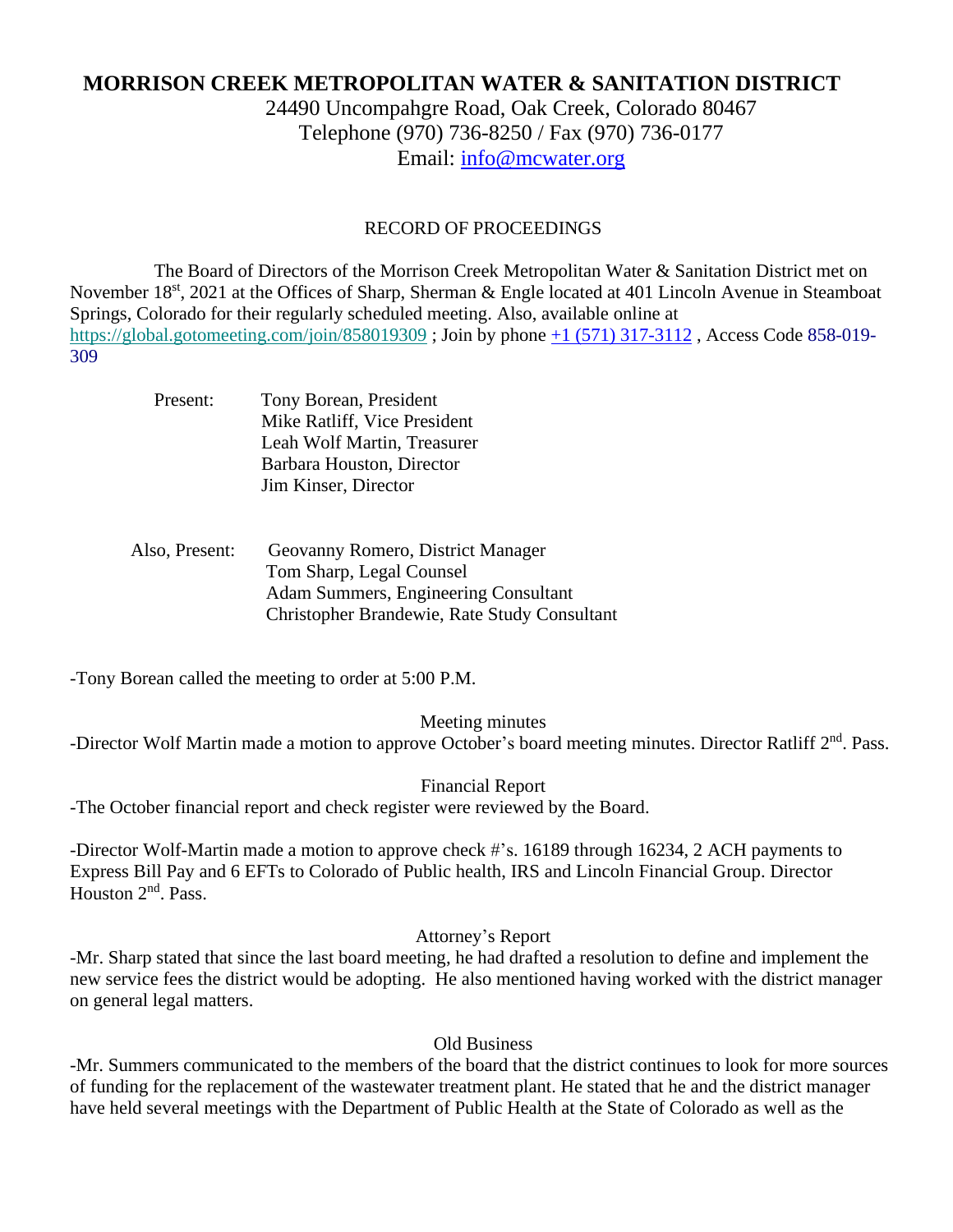# **MORRISON CREEK METROPOLITAN WATER & SANITATION DISTRICT**

24490 Uncompahgre Road, Oak Creek, Colorado 80467 Telephone (970) 736-8250 / Fax (970) 736-0177 Email: [info@mcwater.org](mailto:info@mcwater.org)

#### RECORD OF PROCEEDINGS

 The Board of Directors of the Morrison Creek Metropolitan Water & Sanitation District met on November 18<sup>st</sup>, 2021 at the Offices of Sharp, Sherman & Engle located at 401 Lincoln Avenue in Steamboat Springs, Colorado for their regularly scheduled meeting. Also, available online at https://global.gotomeeting.com/join/858019309; Join by phone +1 (571) 317-3112, Access Code 858-019-309

| Present: | Tony Borean, President       |
|----------|------------------------------|
|          | Mike Ratliff, Vice President |
|          | Leah Wolf Martin, Treasurer  |
|          | Barbara Houston, Director    |
|          | Jim Kinser, Director         |

### Also, Present: Geovanny Romero, District Manager Tom Sharp, Legal Counsel Adam Summers, Engineering Consultant Christopher Brandewie, Rate Study Consultant

-Tony Borean called the meeting to order at 5:00 P.M.

Meeting minutes -Director Wolf Martin made a motion to approve October's board meeting minutes. Director Ratliff 2<sup>nd</sup>. Pass.

Financial Report -The October financial report and check register were reviewed by the Board.

-Director Wolf-Martin made a motion to approve check #'s. 16189 through 16234, 2 ACH payments to Express Bill Pay and 6 EFTs to Colorado of Public health, IRS and Lincoln Financial Group. Director  $\overline{\text{H}}$  Houston  $2^{\text{nd}}$ . Pass.

Attorney's Report

-Mr. Sharp stated that since the last board meeting, he had drafted a resolution to define and implement the new service fees the district would be adopting. He also mentioned having worked with the district manager on general legal matters.

Old Business

-Mr. Summers communicated to the members of the board that the district continues to look for more sources of funding for the replacement of the wastewater treatment plant. He stated that he and the district manager have held several meetings with the Department of Public Health at the State of Colorado as well as the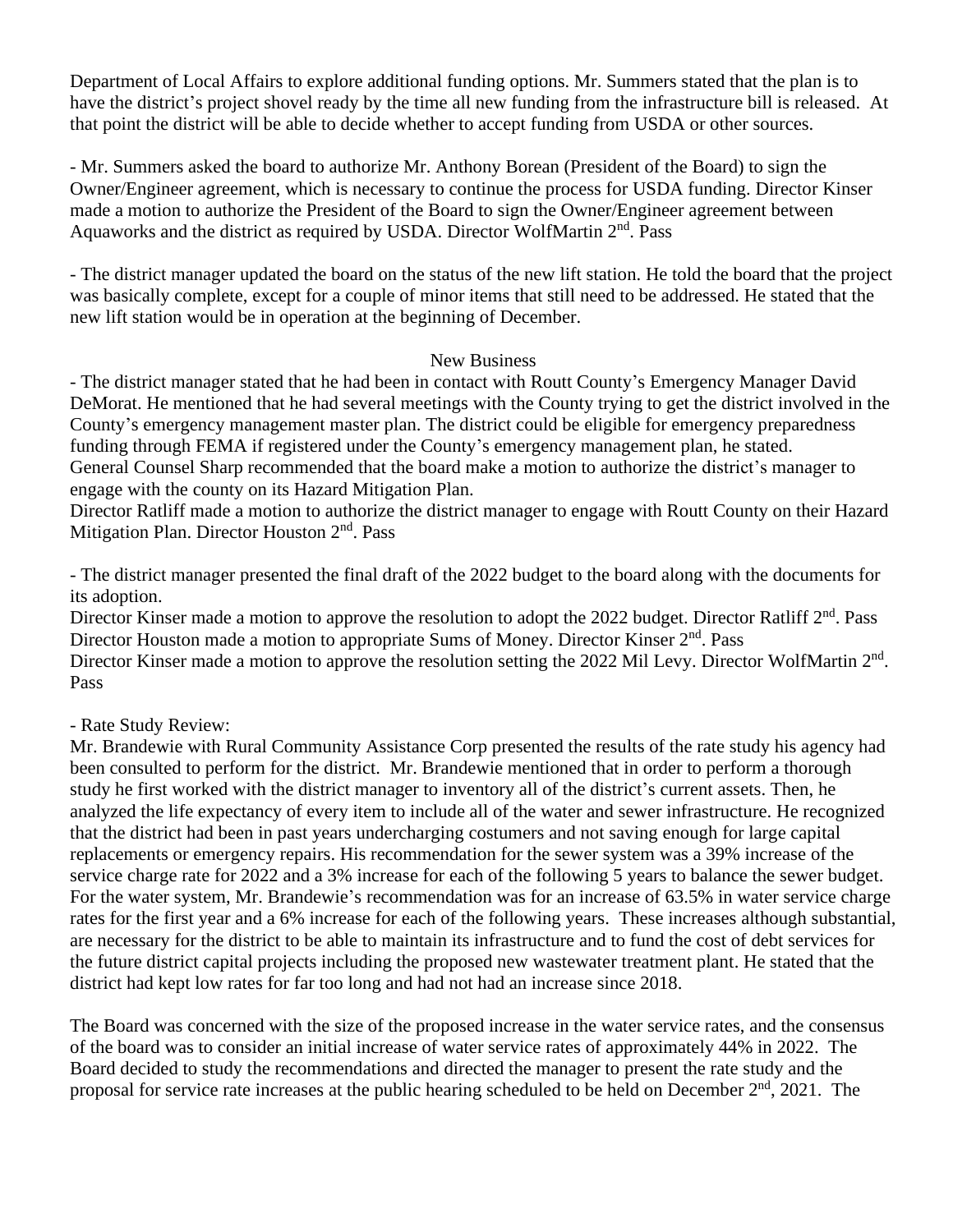Department of Local Affairs to explore additional funding options. Mr. Summers stated that the plan is to have the district's project shovel ready by the time all new funding from the infrastructure bill is released. At that point the district will be able to decide whether to accept funding from USDA or other sources.

- Mr. Summers asked the board to authorize Mr. Anthony Borean (President of the Board) to sign the Owner/Engineer agreement, which is necessary to continue the process for USDA funding. Director Kinser made a motion to authorize the President of the Board to sign the Owner/Engineer agreement between Aquaworks and the district as required by USDA. Director WolfMartin 2<sup>nd</sup>. Pass

- The district manager updated the board on the status of the new lift station. He told the board that the project was basically complete, except for a couple of minor items that still need to be addressed. He stated that the new lift station would be in operation at the beginning of December.

## New Business

- The district manager stated that he had been in contact with Routt County's Emergency Manager David DeMorat. He mentioned that he had several meetings with the County trying to get the district involved in the County's emergency management master plan. The district could be eligible for emergency preparedness funding through FEMA if registered under the County's emergency management plan, he stated. General Counsel Sharp recommended that the board make a motion to authorize the district's manager to engage with the county on its Hazard Mitigation Plan.

Director Ratliff made a motion to authorize the district manager to engage with Routt County on their Hazard Mitigation Plan. Director Houston 2<sup>nd</sup>. Pass

- The district manager presented the final draft of the 2022 budget to the board along with the documents for its adoption.

Director Kinser made a motion to approve the resolution to adopt the 2022 budget. Director Ratliff 2<sup>nd</sup>. Pass Director Houston made a motion to appropriate Sums of Money. Director Kinser 2<sup>nd</sup>. Pass Director Kinser made a motion to approve the resolution setting the 2022 Mil Levy. Director WolfMartin 2<sup>nd</sup>. Pass

- Rate Study Review:

Mr. Brandewie with Rural Community Assistance Corp presented the results of the rate study his agency had been consulted to perform for the district. Mr. Brandewie mentioned that in order to perform a thorough study he first worked with the district manager to inventory all of the district's current assets. Then, he analyzed the life expectancy of every item to include all of the water and sewer infrastructure. He recognized that the district had been in past years undercharging costumers and not saving enough for large capital replacements or emergency repairs. His recommendation for the sewer system was a 39% increase of the service charge rate for 2022 and a 3% increase for each of the following 5 years to balance the sewer budget. For the water system, Mr. Brandewie's recommendation was for an increase of 63.5% in water service charge rates for the first year and a 6% increase for each of the following years. These increases although substantial, are necessary for the district to be able to maintain its infrastructure and to fund the cost of debt services for the future district capital projects including the proposed new wastewater treatment plant. He stated that the district had kept low rates for far too long and had not had an increase since 2018.

The Board was concerned with the size of the proposed increase in the water service rates, and the consensus of the board was to consider an initial increase of water service rates of approximately 44% in 2022. The Board decided to study the recommendations and directed the manager to present the rate study and the proposal for service rate increases at the public hearing scheduled to be held on December  $2<sup>nd</sup>$ , 2021. The